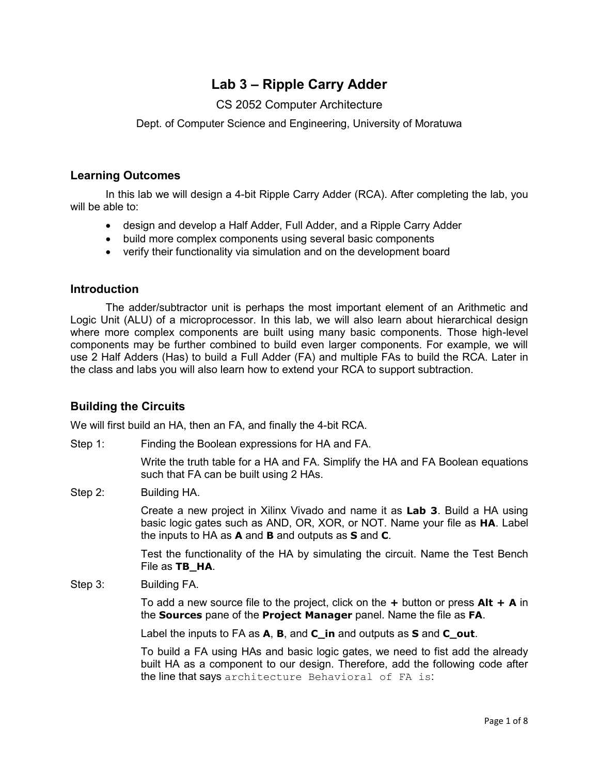# **Lab 3 – Ripple Carry Adder**

# CS 2052 Computer Architecture

Dept. of Computer Science and Engineering, University of Moratuwa

#### **Learning Outcomes**

In this lab we will design a 4-bit Ripple Carry Adder (RCA). After completing the lab, you will be able to:

- design and develop a Half Adder, Full Adder, and a Ripple Carry Adder
- build more complex components using several basic components
- verify their functionality via simulation and on the development board

### **Introduction**

The adder/subtractor unit is perhaps the most important element of an Arithmetic and Logic Unit (ALU) of a microprocessor. In this lab, we will also learn about hierarchical design where more complex components are built using many basic components. Those high-level components may be further combined to build even larger components. For example, we will use 2 Half Adders (Has) to build a Full Adder (FA) and multiple FAs to build the RCA. Later in the class and labs you will also learn how to extend your RCA to support subtraction.

# **Building the Circuits**

We will first build an HA, then an FA, and finally the 4-bit RCA.

Step 1: Finding the Boolean expressions for HA and FA.

Write the truth table for a HA and FA. Simplify the HA and FA Boolean equations such that FA can be built using 2 HAs.

Step 2: Building HA.

Create a new project in Xilinx Vivado and name it as **Lab 3**. Build a HA using basic logic gates such as AND, OR, XOR, or NOT. Name your file as **HA**. Label the inputs to HA as **A** and **B** and outputs as **S** and **C**.

Test the functionality of the HA by simulating the circuit. Name the Test Bench File as **TB\_HA**.

Step 3: Building FA.

To add a new source file to the project, click on the **+** button or press **Alt + A** in the **Sources** pane of the **Project Manager** panel. Name the file as **FA**.

Label the inputs to FA as **A**, **B**, and **C\_in** and outputs as **S** and **C\_out**.

To build a FA using HAs and basic logic gates, we need to fist add the already built HA as a component to our design. Therefore, add the following code after the line that says architecture Behavioral of FA is: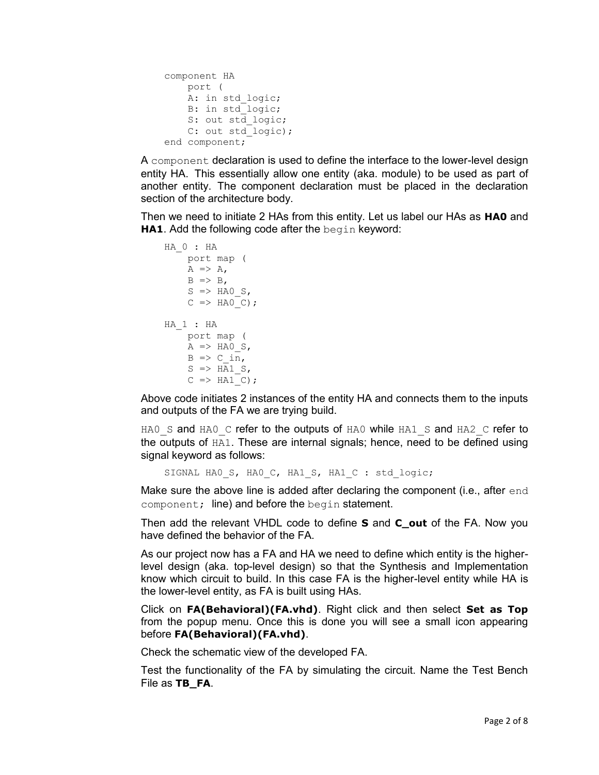```
 component HA 
    port ( 
   A: in std logic;
    B: in std_logic; 
    S: out std logic;
    C: out std logic);
 end component;
```
A component declaration is used to define the interface to the lower-level design entity HA. This essentially allow one entity (aka. module) to be used as part of another entity. The component declaration must be placed in the declaration section of the architecture body.

Then we need to initiate 2 HAs from this entity. Let us label our HAs as **HA0** and **HA1.** Add the following code after the begin keyword:

```
 HA_0 : HA 
     port map ( 
      A \Rightarrow A,
      B \Rightarrow B,
      S \Rightarrow HAO S,
      C => HAO C);
 HA_1 : HA 
      port map ( 
     A \Rightarrow HAO S,
     B \Rightarrow C \text{ in,}S \Rightarrow HAI S,
      C \implies HAI C);
```
Above code initiates 2 instances of the entity HA and connects them to the inputs and outputs of the FA we are trying build.

HA0 S and HA0 C refer to the outputs of HA0 while HA1 S and HA2 C refer to the outputs of HA1. These are internal signals; hence, need to be defined using signal keyword as follows:

SIGNAL HAO S, HAO C, HA1 S, HA1 C : std logic;

Make sure the above line is added after declaring the component (i.e., after end component; line) and before the begin statement.

Then add the relevant VHDL code to define **S** and **C\_out** of the FA. Now you have defined the behavior of the FA.

As our project now has a FA and HA we need to define which entity is the higherlevel design (aka. top-level design) so that the Synthesis and Implementation know which circuit to build. In this case FA is the higher-level entity while HA is the lower-level entity, as FA is built using HAs.

Click on **FA(Behavioral)(FA.vhd)**. Right click and then select **Set as Top**  from the popup menu. Once this is done you will see a small icon appearing before **FA(Behavioral)(FA.vhd)**.

Check the schematic view of the developed FA.

Test the functionality of the FA by simulating the circuit. Name the Test Bench File as **TB\_FA**.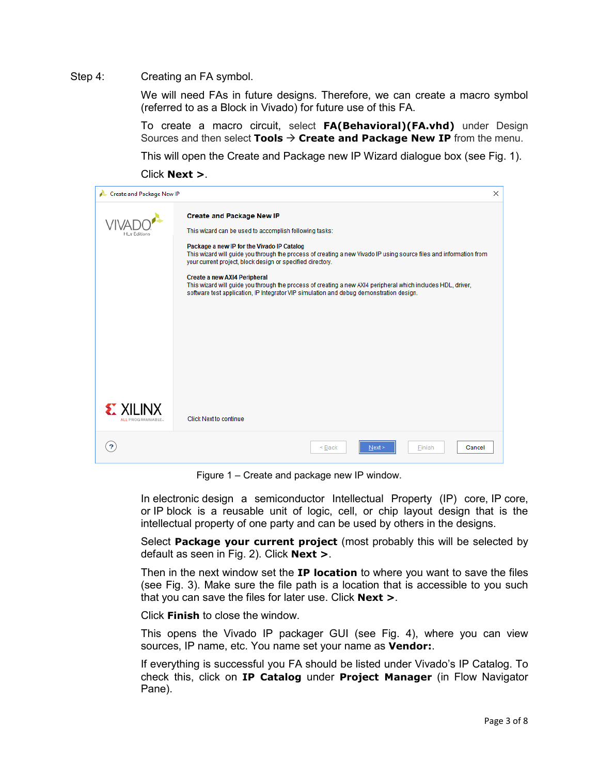#### Step 4: Creating an FA symbol.

We will need FAs in future designs. Therefore, we can create a macro symbol (referred to as a Block in Vivado) for future use of this FA.

To create a macro circuit, select **FA(Behavioral)(FA.vhd)** under Design Sources and then select **Tools** → **Create and Package New IP** from the menu.

This will open the Create and Package new IP Wizard dialogue box (see Fig. 1).

Click **Next >**.

| Create and Package New IP           |                                                                                                                                                                                                                                                                                                                                                                                                                                                                                                                                                                         | X |
|-------------------------------------|-------------------------------------------------------------------------------------------------------------------------------------------------------------------------------------------------------------------------------------------------------------------------------------------------------------------------------------------------------------------------------------------------------------------------------------------------------------------------------------------------------------------------------------------------------------------------|---|
| <b>HLx Editions</b>                 | <b>Create and Package New IP</b><br>This wizard can be used to accomplish following tasks:<br>Package a new IP for the Vivado IP Catalog<br>This wizard will guide you through the process of creating a new Vivado IP using source files and information from<br>your current project, block design or specified directory.<br>Create a new AXI4 Peripheral<br>This wizard will guide you through the process of creating a new AXI4 peripheral which includes HDL, driver,<br>software test application, IP Integrator VIP simulation and debug demonstration design. |   |
| <b>EXILINX</b><br>ALL PROGRAMMABLE. | <b>Click Next to continue</b>                                                                                                                                                                                                                                                                                                                                                                                                                                                                                                                                           |   |
|                                     | Cancel<br>$Back$<br>Next<br>Finish                                                                                                                                                                                                                                                                                                                                                                                                                                                                                                                                      |   |

Figure 1 – Create and package new IP window.

In electronic design a semiconductor Intellectual Property (IP) core, IP core, or IP block is a reusable unit of logic, cell, or chip layout design that is the intellectual property of one party and can be used by others in the designs.

Select **Package your current project** (most probably this will be selected by default as seen in Fig. 2). Click **Next >**.

Then in the next window set the **IP location** to where you want to save the files (see Fig. 3). Make sure the file path is a location that is accessible to you such that you can save the files for later use. Click **Next >**.

Click **Finish** to close the window.

This opens the Vivado IP packager GUI (see Fig. 4), where you can view sources, IP name, etc. You name set your name as **Vendor:**.

If everything is successful you FA should be listed under Vivado's IP Catalog. To check this, click on **IP Catalog** under **Project Manager** (in Flow Navigator Pane).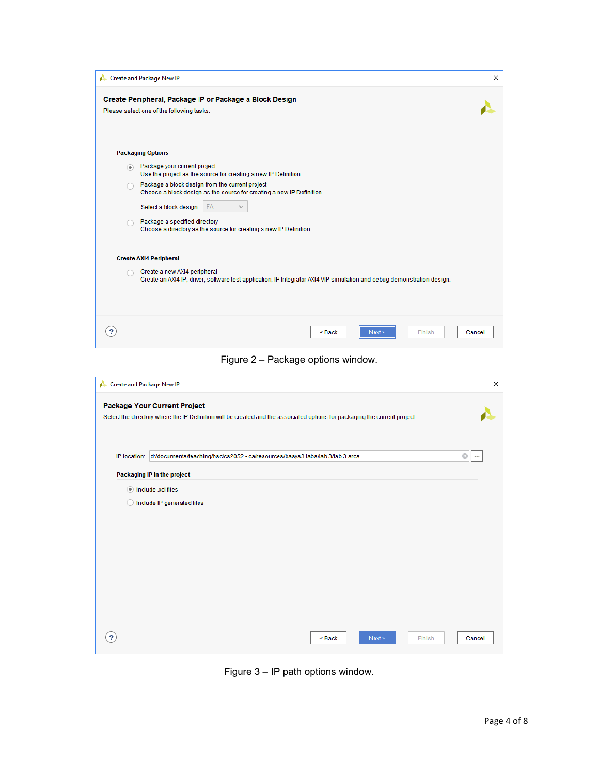|                | Create and Package New IP                                                                                                                                | × |
|----------------|----------------------------------------------------------------------------------------------------------------------------------------------------------|---|
|                | Create Peripheral, Package IP or Package a Block Design<br>Please select one of the following tasks.                                                     |   |
|                | <b>Packaging Options</b>                                                                                                                                 |   |
| $\circledcirc$ | Package your current project<br>Use the project as the source for creating a new IP Definition.                                                          |   |
|                | Package a block design from the current project<br>Choose a block design as the source for creating a new IP Definition.<br>Select a block design:<br>FA |   |
|                | Package a specified directory<br>Choose a directory as the source for creating a new IP Definition.                                                      |   |
|                | <b>Create AXI4 Peripheral</b>                                                                                                                            |   |
|                | Create a new AXI4 peripheral<br>Create an AXI4 IP, driver, software test application, IP Integrator AXI4 VIP simulation and debug demonstration design.  |   |
| ?              | $Back$<br>Cancel<br>Next<br>Finish                                                                                                                       |   |
|                | Figure 2 - Package options window                                                                                                                        |   |

Figure 2 – Package options window.

| Create and Package New IP                                                                                                                                         |                                                                                           | ×                   |  |  |  |
|-------------------------------------------------------------------------------------------------------------------------------------------------------------------|-------------------------------------------------------------------------------------------|---------------------|--|--|--|
| <b>Package Your Current Project</b><br>Select the directory where the IP Definition will be created and the associated options for packaging the current project. |                                                                                           |                     |  |  |  |
|                                                                                                                                                                   | IP location: d:/documents/teaching/bsc/cs2052 - ca/resources/basys3 labs/lab 3/lab 3.srcs | $\odot$<br>$\cdots$ |  |  |  |
|                                                                                                                                                                   | Packaging IP in the project                                                               |                     |  |  |  |
| $\left( \begin{array}{c} \end{array} \right)$                                                                                                                     | Include .xci files<br>Include IP generated files                                          |                     |  |  |  |
| ?                                                                                                                                                                 | $\leq$ Back<br>Next ><br><b>Finish</b>                                                    | Cancel              |  |  |  |

Figure 3 – IP path options window.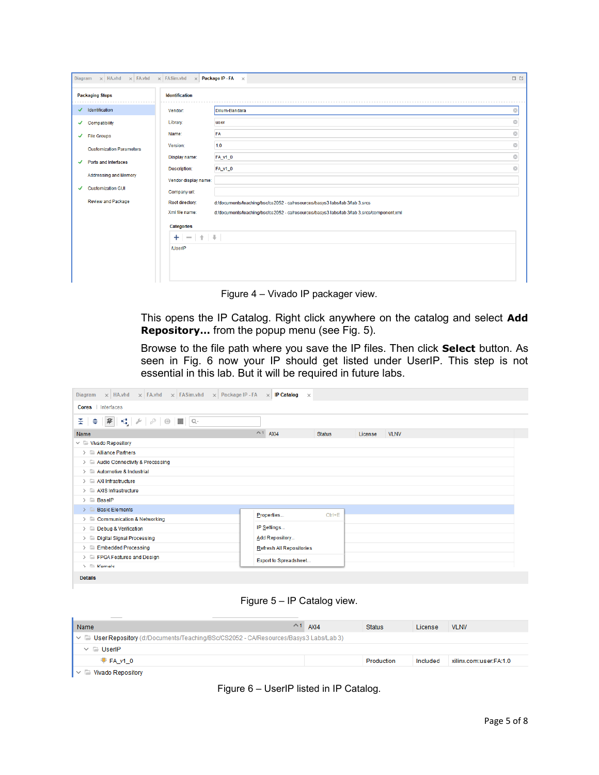| Diagram $\times$ HA.vhd $\times$ FA.vhd $\times$ FASim.vhd $\times$<br>Package IP - FA $\times$<br>口口 |                       |                                                                                            |         |  |
|-------------------------------------------------------------------------------------------------------|-----------------------|--------------------------------------------------------------------------------------------|---------|--|
| <b>Packaging Steps</b>                                                                                | <b>Identification</b> |                                                                                            |         |  |
| Identification<br>✓                                                                                   | Vendor:               | Dilum-Bandara                                                                              | Ø       |  |
| $\checkmark$ Compatibility                                                                            | Library:              | user                                                                                       | $\odot$ |  |
| $\checkmark$ File Groups                                                                              | Name:                 | FA                                                                                         | Ø       |  |
| <b>Customization Parameters</b>                                                                       | Version:              | 1.0                                                                                        | $\odot$ |  |
| Ports and Interfaces<br>✓                                                                             | Display name:         | FA_v1_0                                                                                    | $\odot$ |  |
|                                                                                                       | Description:          | FA_v1_0                                                                                    | $\odot$ |  |
| Addressing and Memory                                                                                 | Vendor display name:  |                                                                                            |         |  |
| <b>Customization GUI</b><br>✔                                                                         | Company url:          |                                                                                            |         |  |
| <b>Review and Package</b>                                                                             | Root directory:       | d:/documents/teaching/bsc/cs2052 - ca/resources/basys3 labs/lab 3/lab 3.srcs               |         |  |
|                                                                                                       | Xml file name:        | d:/documents/teaching/bsc/cs2052 - ca/resources/basys3 labs/lab 3/lab 3.srcs/component.xml |         |  |
|                                                                                                       | <b>Categories</b>     |                                                                                            |         |  |
|                                                                                                       | $+ - + + +$           |                                                                                            |         |  |
|                                                                                                       | <b>/UserIP</b>        |                                                                                            |         |  |
|                                                                                                       |                       |                                                                                            |         |  |
|                                                                                                       |                       |                                                                                            |         |  |

Figure 4 – Vivado IP packager view.

This opens the IP Catalog. Right click anywhere on the catalog and select **Add Repository…** from the popup menu (see Fig. 5).

Browse to the file path where you save the IP files. Then click **Select** button. As seen in Fig. 6 now your IP should get listed under UserIP. This step is not essential in this lab. But it will be required in future labs.

| $\times$ FA.vhd $\times$ FASim.vhd $\times$ Package IP - FA<br>$\times$ HA.vhd<br>Diagram                           | $\times$ IP Catalog<br>$\times$                                |  |
|---------------------------------------------------------------------------------------------------------------------|----------------------------------------------------------------|--|
| Cores Interfaces                                                                                                    |                                                                |  |
| $\Leftrightarrow  \mathcal{R}  \mathbf{u}  \mathcal{L}  \mathcal{P}  \mathbf{0}  \mathbf{H}  \mathbf{0} \cdot$<br>÷ |                                                                |  |
| Name                                                                                                                | $^{\sim}$ 1<br>AXI4<br><b>Status</b><br>License<br><b>VLNV</b> |  |
| $\vee$ $\equiv$ Vivado Repository                                                                                   |                                                                |  |
| $\triangleright$ $\blacksquare$ Alliance Partners                                                                   |                                                                |  |
| > Audio Connectivity & Processing                                                                                   |                                                                |  |
| $>$ Automotive & Industrial                                                                                         |                                                                |  |
| $\angle$ $\equiv$ AXI Infrastructure                                                                                |                                                                |  |
| $\angle$ $\equiv$ AXIS Infrastructure                                                                               |                                                                |  |
| $\angle$ $\Box$ BaselP                                                                                              |                                                                |  |
| $\triangleright$ <b>Basic Elements</b>                                                                              |                                                                |  |
| $\triangleright$ $\equiv$ Communication & Networking                                                                | $Ctrl + E$<br>Properties                                       |  |
| IP Settings<br>> Debug & Verification                                                                               |                                                                |  |
| Add Repository<br>> Digital Signal Processing                                                                       |                                                                |  |
| $\triangleright$ $\blacksquare$ Embedded Processing<br>Refresh All Repositories                                     |                                                                |  |
| $\triangleright$ $\equiv$ FPGA Features and Design                                                                  | Export to Spreadsheet                                          |  |
| $\mathcal{E} \equiv$ Karnale                                                                                        |                                                                |  |
| <b>Details</b>                                                                                                      |                                                                |  |

Figure 5 – IP Catalog view.

| the control of the control of<br>Name                                                                     |  | $^{\sim}$ 1 AXI4 | <b>Status</b> | License  | <b>VLNV</b>            |  |
|-----------------------------------------------------------------------------------------------------------|--|------------------|---------------|----------|------------------------|--|
| $\sim$ $\blacksquare$ User Repository (d:/Documents/Teaching/BSc/CS2052 - CA/Resources/Basys3 Labs/Lab 3) |  |                  |               |          |                        |  |
| $\vee$ $\Box$ UserIP                                                                                      |  |                  |               |          |                        |  |
| F A v10                                                                                                   |  |                  | Production    | Included | xilinx.com:user:FA:1.0 |  |
|                                                                                                           |  |                  |               |          |                        |  |

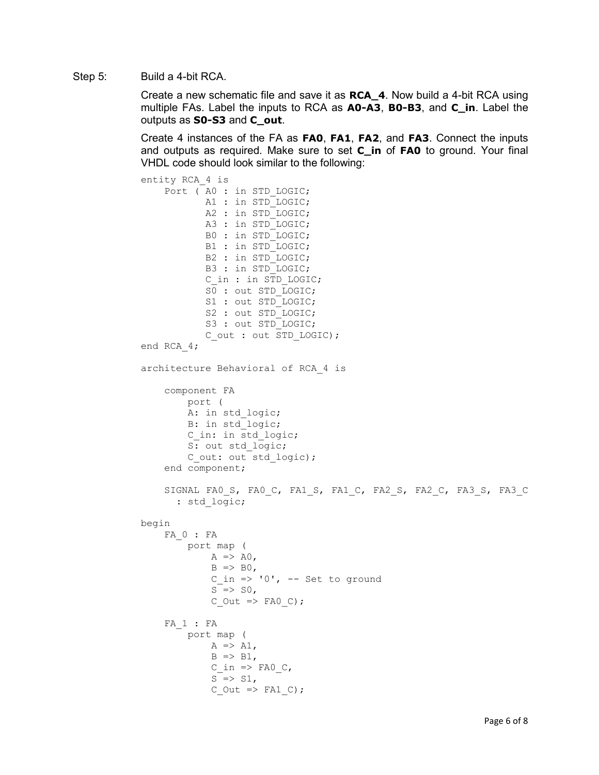Step 5: Build a 4-bit RCA.

Create a new schematic file and save it as **RCA\_4**. Now build a 4-bit RCA using multiple FAs. Label the inputs to RCA as **A0-A3**, **B0-B3**, and **C\_in**. Label the outputs as **S0-S3** and **C\_out**.

Create 4 instances of the FA as **FA0**, **FA1**, **FA2**, and **FA3**. Connect the inputs and outputs as required. Make sure to set **C\_in** of **FA0** to ground. Your final VHDL code should look similar to the following:

```
entity RCA_4 is
    Port (A0 : in STD LOGIC;A1 : in STD LOGIC;
            A2 : in STD_LOGIC;
            A3 : in STD LOGIC;
             B0 : in STD_LOGIC;
            B1 : in STD LOGIC;
             B2 : in STD_LOGIC;
              B3 : in STD_LOGIC;
             C in : in STD LOGIC;
             \overline{SO} : out STD LOGIC;
             S1 : out STD LOGIC;
             S2 : out STD LOGIC;
             S3 : out STD LOGIC;
              C_out : out STD_LOGIC);
end RCA_4;
architecture Behavioral of RCA_4 is
     component FA 
          port ( 
         A: in std logic;
          B: in std_logic;
         C in: in std_logic;
         S: out std logic;
         C out: out std logic);
     end component;
    SIGNAL FA0 S, FA0 C, FA1 S, FA1 C, FA2 S, FA2 C, FA3 S, FA3 C
       : std_logic;
begin
     FA_0 : FA
          port map ( 
             A \Rightarrow A0,
             B \Rightarrow B0,
             C in \Rightarrow '0', -- Set to ground
             S \Rightarrow SO,C Out => FA0 C);
     FA_1 : FA
          port map ( 
             A \Rightarrow A1,
             B \Rightarrow B1,C in => FA0 C,
             S \Rightarrow S1,C Out \Rightarrow FA1 C);
```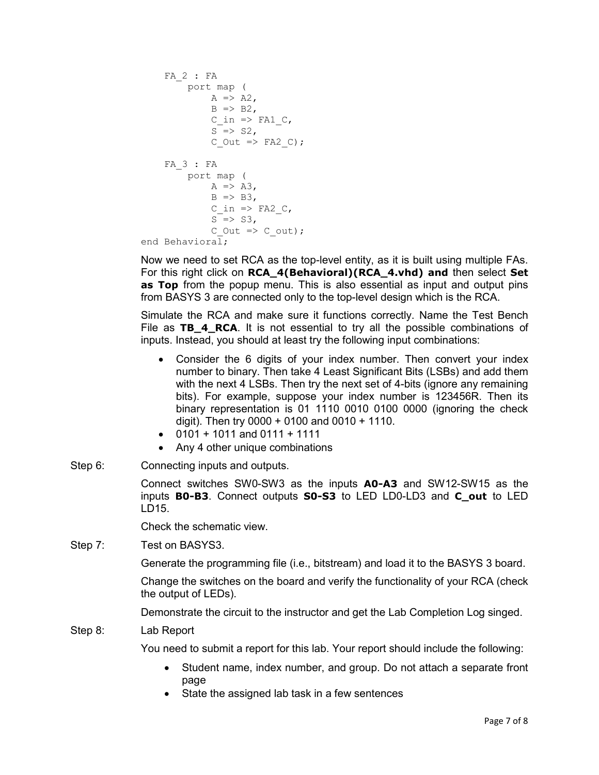```
 FA_2 : FA
      port map ( 
           A \Rightarrow A2,
           B \Rightarrow B2,
           C in \Rightarrow FA1 C,
           S \Rightarrow S2,
           C Out \Rightarrow FA2 C);
 FA_3 : FA
      port map ( 
           A \Rightarrow A3,
           B \Rightarrow B3,C in => FA2 C,
           S \Rightarrow S3,
           C Out => C_out);
```
end Behavioral;

Now we need to set RCA as the top-level entity, as it is built using multiple FAs. For this right click on **RCA\_4(Behavioral)(RCA\_4.vhd) and** then select **Set as Top** from the popup menu. This is also essential as input and output pins from BASYS 3 are connected only to the top-level design which is the RCA.

Simulate the RCA and make sure it functions correctly. Name the Test Bench File as **TB\_4\_RCA**. It is not essential to try all the possible combinations of inputs. Instead, you should at least try the following input combinations:

- Consider the 6 digits of your index number. Then convert your index number to binary. Then take 4 Least Significant Bits (LSBs) and add them with the next 4 LSBs. Then try the next set of 4-bits (ignore any remaining bits). For example, suppose your index number is 123456R. Then its binary representation is 01 1110 0010 0100 0000 (ignoring the check digit). Then try  $0000 + 0100$  and  $0010 + 1110$ .
- 0101 + 1011 and 0111 + 1111
- Any 4 other unique combinations
- Step 6: Connecting inputs and outputs.

Connect switches SW0-SW3 as the inputs **A0-A3** and SW12-SW15 as the inputs **B0-B3**. Connect outputs **S0-S3** to LED LD0-LD3 and **C\_out** to LED LD15.

Check the schematic view.

Step 7: Test on BASYS3.

Generate the programming file (i.e., bitstream) and load it to the BASYS 3 board.

Change the switches on the board and verify the functionality of your RCA (check the output of LEDs).

Demonstrate the circuit to the instructor and get the Lab Completion Log singed.

Step 8: Lab Report

You need to submit a report for this lab. Your report should include the following:

- Student name, index number, and group. Do not attach a separate front page
- State the assigned lab task in a few sentences